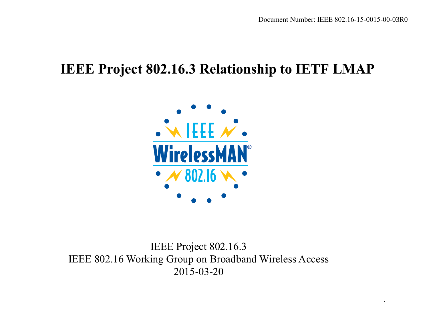#### **IEEE Project 802.16.3 Relationship to IETF LMAP**



IEEE Project 802.16.3 IEEE 802.16 Working Group on Broadband Wireless Access 2015-03-20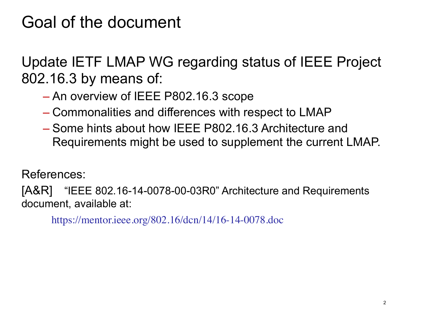## Goal of the document

Update IETF LMAP WG regarding status of IEEE Project 802.16.3 by means of:

- An overview of IEEE P802.16.3 scope
- Commonalities and differences with respect to LMAP
- Some hints about how IEEE P802.16.3 Architecture and Requirements might be used to supplement the current LMAP.

References:

[A&R] "IEEE 802.16-14-0078-00-03R0" Architecture and Requirements document, available at:

https://mentor.ieee.org/802.16/dcn/14/16-14-0078.doc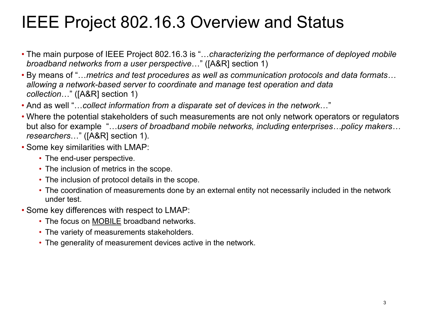# IEEE Project 802.16.3 Overview and Status

- The main purpose of IEEE Project 802.16.3 is "…*characterizing the performance of deployed mobile broadband networks from a user perspective*…" ([A&R] section 1)
- By means of "…*metrics and test procedures as well as communication protocols and data formats… allowing a network-based server to coordinate and manage test operation and data collection*…" ([A&R] section 1)
- And as well "…*collect information from a disparate set of devices in the network*…"
- Where the potential stakeholders of such measurements are not only network operators or regulators but also for example "…*users of broadband mobile networks, including enterprises…policy makers… researchers*…" ([A&R] section 1).
- Some key similarities with LMAP:
	- The end-user perspective.
	- The inclusion of metrics in the scope.
	- The inclusion of protocol details in the scope.
	- The coordination of measurements done by an external entity not necessarily included in the network under test.
- Some key differences with respect to LMAP:
	- The focus on MOBILE broadband networks.
	- The variety of measurements stakeholders.
	- The generality of measurement devices active in the network.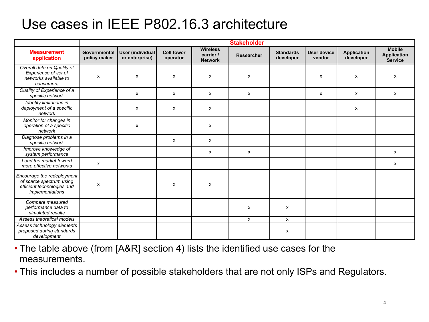#### Use cases in IEEE P802.16.3 architecture

|                                                                                                         | <b>Stakeholder</b>           |                                    |                               |                                                |                   |                               |                       |                                 |                                                       |
|---------------------------------------------------------------------------------------------------------|------------------------------|------------------------------------|-------------------------------|------------------------------------------------|-------------------|-------------------------------|-----------------------|---------------------------------|-------------------------------------------------------|
| <b>Measurement</b><br>application                                                                       | Governmental<br>policy maker | User (individual<br>or enterprise) | <b>Cell tower</b><br>operator | <b>Wireless</b><br>carrier /<br><b>Network</b> | <b>Researcher</b> | <b>Standards</b><br>developer | User device<br>vendor | <b>Application</b><br>developer | <b>Mobile</b><br><b>Application</b><br><b>Service</b> |
| Overall data on Quality of<br>Experience of set of<br>networks available to<br>consumers                | X                            | x                                  | X                             | $\boldsymbol{\mathsf{x}}$                      | X                 |                               | X                     | X                               | x                                                     |
| Quality of Experience of a<br>specific network                                                          |                              | x                                  | X                             | х                                              | x                 |                               | x                     | x                               | x                                                     |
| Identify limitations in<br>deployment of a specific<br>network                                          |                              | x                                  | x                             | х                                              |                   |                               |                       | x                               |                                                       |
| Monitor for changes in<br>operation of a specific<br>network                                            |                              | x                                  |                               | х                                              |                   |                               |                       |                                 |                                                       |
| Diagnose problems in a<br>specific network                                                              |                              |                                    | x                             | x                                              |                   |                               |                       |                                 |                                                       |
| Improve knowledge of<br>system performance                                                              |                              |                                    |                               | х                                              | $\mathsf{x}$      |                               |                       |                                 | X                                                     |
| Lead the market toward<br>more effective networks                                                       | x                            |                                    |                               |                                                |                   |                               |                       |                                 | x                                                     |
| Encourage the redeployment<br>of scarce spectrum using<br>efficient technologies and<br>implementations | x                            |                                    | x                             | X                                              |                   |                               |                       |                                 |                                                       |
| Compare measured<br>performance data to<br>simulated results                                            |                              |                                    |                               |                                                | x                 | X                             |                       |                                 |                                                       |
| Assess theoretical models                                                                               |                              |                                    |                               |                                                | $\mathsf{x}$      | $\mathsf{x}$                  |                       |                                 |                                                       |
| Assess technology elements<br>proposed during standards<br>development                                  |                              |                                    |                               |                                                |                   | x                             |                       |                                 |                                                       |

- The table above (from [A&R] section 4) lists the identified use cases for the measurements.
- This includes a number of possible stakeholders that are not only ISPs and Regulators.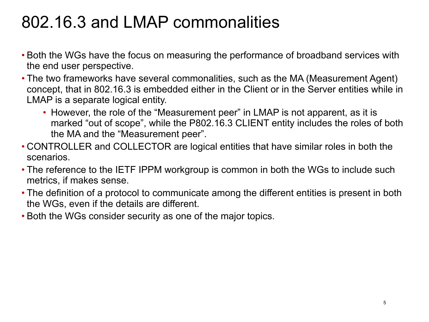# 802.16.3 and LMAP commonalities

- Both the WGs have the focus on measuring the performance of broadband services with the end user perspective.
- The two frameworks have several commonalities, such as the MA (Measurement Agent) concept, that in 802.16.3 is embedded either in the Client or in the Server entities while in LMAP is a separate logical entity.
	- However, the role of the "Measurement peer" in LMAP is not apparent, as it is marked "out of scope", while the P802.16.3 CLIENT entity includes the roles of both the MA and the "Measurement peer".
- CONTROLLER and COLLECTOR are logical entities that have similar roles in both the scenarios.
- The reference to the IETF IPPM workgroup is common in both the WGs to include such metrics, if makes sense.
- The definition of a protocol to communicate among the different entities is present in both the WGs, even if the details are different.
- Both the WGs consider security as one of the major topics.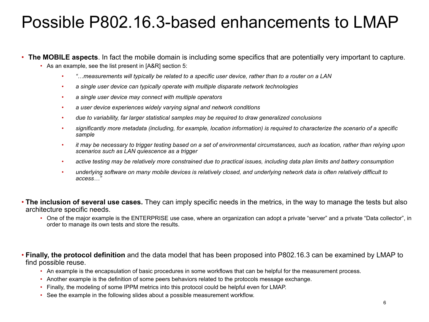## Possible P802.16.3-based enhancements to LMAP

#### • **The MOBILE aspects**. In fact the mobile domain is including some specifics that are potentially very important to capture.

- As an example, see the list present in [A&R] section 5:
	- *"…measurements will typically be related to a specific user device, rather than to a router on a LAN*
	- *a single user device can typically operate with multiple disparate network technologies*
	- *a single user device may connect with multiple operators*
	- *a user device experiences widely varying signal and network conditions*
	- *due to variability, far larger statistical samples may be required to draw generalized conclusions*
	- *significantly more metadata (including, for example, location information) is required to characterize the scenario of a specific sample*
	- *it may be necessary to trigger testing based on a set of environmental circumstances, such as location, rather than relying upon scenarios such as LAN quiescence as a trigger*
	- *active testing may be relatively more constrained due to practical issues, including data plan limits and battery consumption*
	- *underlying software on many mobile devices is relatively closed, and underlying network data is often relatively difficult to access…"*
- **The inclusion of several use cases.** They can imply specific needs in the metrics, in the way to manage the tests but also architecture specific needs.
	- One of the major example is the ENTERPRISE use case, where an organization can adopt a private "server" and a private "Data collector", in order to manage its own tests and store the results.
- **Finally, the protocol definition** and the data model that has been proposed into P802.16.3 can be examined by LMAP to find possible reuse.
	- An example is the encapsulation of basic procedures in some workflows that can be helpful for the measurement process.
	- Another example is the definition of some peers behaviors related to the protocols message exchange.
	- Finally, the modeling of some IPPM metrics into this protocol could be helpful even for LMAP.
	- See the example in the following slides about a possible measurement workflow.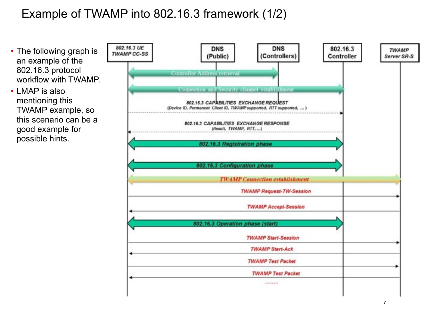#### Example of TWAMP into 802.16.3 framework (1/2)

- The following graph is an example of the 802.16.3 protocol workflow with TWAMP.
- LMAP is also mentioning this TWAMP example, so this scenario can be a good example for possible hints.

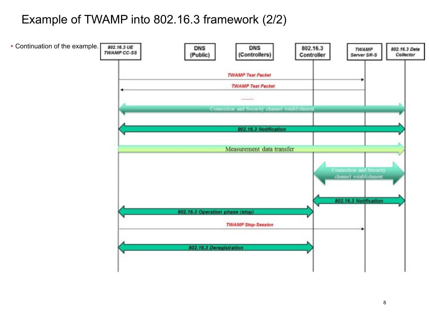#### Example of TWAMP into 802.16.3 framework (2/2)